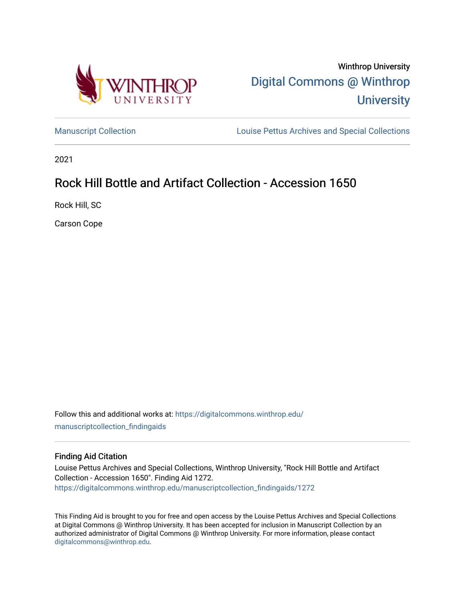

Winthrop University [Digital Commons @ Winthrop](https://digitalcommons.winthrop.edu/)  **University** 

[Manuscript Collection](https://digitalcommons.winthrop.edu/manuscriptcollection_findingaids) **Louise Pettus Archives and Special Collections** 

2021

# Rock Hill Bottle and Artifact Collection - Accession 1650

Rock Hill, SC

Carson Cope

Follow this and additional works at: [https://digitalcommons.winthrop.edu/](https://digitalcommons.winthrop.edu/manuscriptcollection_findingaids?utm_source=digitalcommons.winthrop.edu%2Fmanuscriptcollection_findingaids%2F1272&utm_medium=PDF&utm_campaign=PDFCoverPages) [manuscriptcollection\\_findingaids](https://digitalcommons.winthrop.edu/manuscriptcollection_findingaids?utm_source=digitalcommons.winthrop.edu%2Fmanuscriptcollection_findingaids%2F1272&utm_medium=PDF&utm_campaign=PDFCoverPages) 

#### Finding Aid Citation

Louise Pettus Archives and Special Collections, Winthrop University, "Rock Hill Bottle and Artifact Collection - Accession 1650". Finding Aid 1272. [https://digitalcommons.winthrop.edu/manuscriptcollection\\_findingaids/1272](https://digitalcommons.winthrop.edu/manuscriptcollection_findingaids/1272?utm_source=digitalcommons.winthrop.edu%2Fmanuscriptcollection_findingaids%2F1272&utm_medium=PDF&utm_campaign=PDFCoverPages) 

This Finding Aid is brought to you for free and open access by the Louise Pettus Archives and Special Collections at Digital Commons @ Winthrop University. It has been accepted for inclusion in Manuscript Collection by an authorized administrator of Digital Commons @ Winthrop University. For more information, please contact [digitalcommons@winthrop.edu](mailto:digitalcommons@winthrop.edu).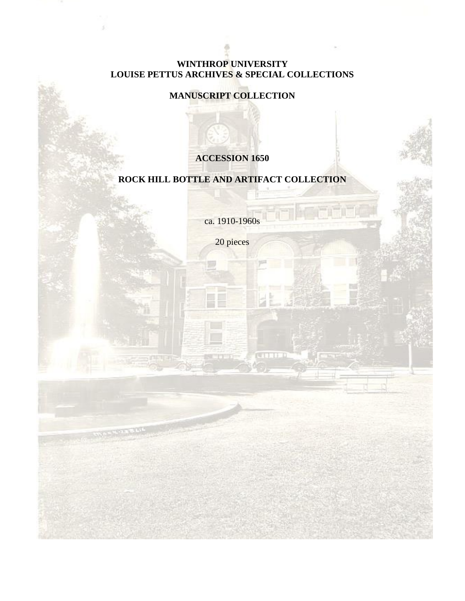### **WINTHROP UNIVERSITY LOUISE PETTUS ARCHIVES & SPECIAL COLLECTIONS**

## **MANUSCRIPT COLLECTION**

## **ACCESSION 1650**

## **ROCK HILL BOTTLE AND ARTIFACT COLLECTION**

ca. 1910-1960s

20 pieces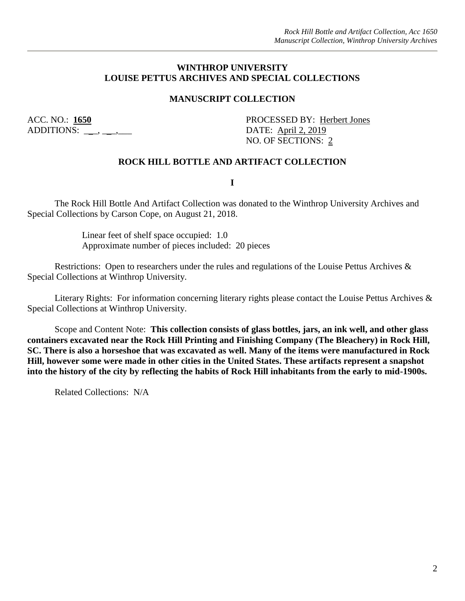#### **WINTHROP UNIVERSITY LOUISE PETTUS ARCHIVES AND SPECIAL COLLECTIONS**

#### **MANUSCRIPT COLLECTION**

ADDITIONS: \_\_\_, \_\_\_, \_\_\_\_

ACC. NO.: **1650** PROCESSED BY: Herbert Jones NO. OF SECTIONS: 2

#### **ROCK HILL BOTTLE AND ARTIFACT COLLECTION**

**I**

The Rock Hill Bottle And Artifact Collection was donated to the Winthrop University Archives and Special Collections by Carson Cope, on August 21, 2018.

> Linear feet of shelf space occupied: 1.0 Approximate number of pieces included: 20 pieces

Restrictions: Open to researchers under the rules and regulations of the Louise Pettus Archives & Special Collections at Winthrop University.

Literary Rights: For information concerning literary rights please contact the Louise Pettus Archives & Special Collections at Winthrop University.

Scope and Content Note: **This collection consists of glass bottles, jars, an ink well, and other glass containers excavated near the Rock Hill Printing and Finishing Company (The Bleachery) in Rock Hill, SC. There is also a horseshoe that was excavated as well. Many of the items were manufactured in Rock Hill, however some were made in other cities in the United States. These artifacts represent a snapshot into the history of the city by reflecting the habits of Rock Hill inhabitants from the early to mid-1900s.**

Related Collections: N/A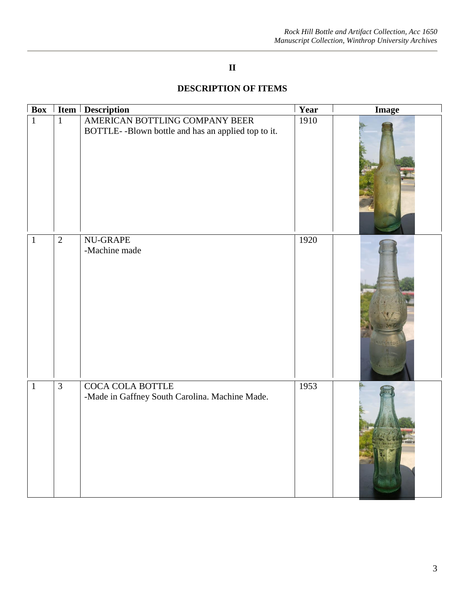## **II**

## **DESCRIPTION OF ITEMS**

| $\overline{\text{Box}}$ |                | <b>Item   Description</b>                                                            | Year | <b>Image</b> |
|-------------------------|----------------|--------------------------------------------------------------------------------------|------|--------------|
| $\mathbf{1}$            | $\mathbf{1}$   | AMERICAN BOTTLING COMPANY BEER<br>BOTTLE--Blown bottle and has an applied top to it. | 1910 |              |
| $1\,$                   | $\sqrt{2}$     | <b>NU-GRAPE</b><br>-Machine made                                                     | 1920 |              |
| $\mathbf{1}$            | $\overline{3}$ | <b>COCA COLA BOTTLE</b><br>-Made in Gaffney South Carolina. Machine Made.            | 1953 |              |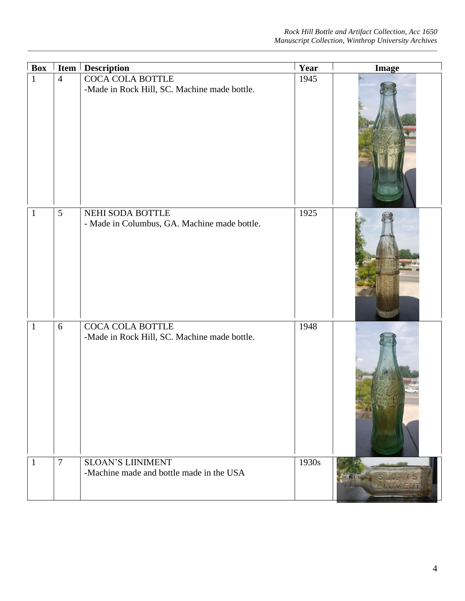| <b>Box</b>   | Item           | <b>Description</b>                                                   | Year  | <b>Image</b> |
|--------------|----------------|----------------------------------------------------------------------|-------|--------------|
| $\mathbf{1}$ | $\overline{4}$ | COCA COLA BOTTLE<br>-Made in Rock Hill, SC. Machine made bottle.     | 1945  |              |
| $\mathbf{1}$ | 5              | NEHI SODA BOTTLE<br>- Made in Columbus, GA. Machine made bottle.     | 1925  |              |
| $\mathbf{1}$ | 6              | COCA COLA BOTTLE<br>-Made in Rock Hill, SC. Machine made bottle.     | 1948  |              |
| $\mathbf{1}$ | $\overline{7}$ | <b>SLOAN'S LIINIMENT</b><br>-Machine made and bottle made in the USA | 1930s |              |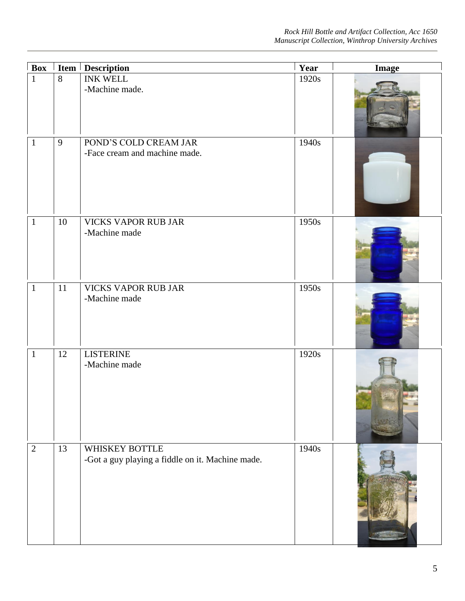| <b>Box</b>     |        | Item Description                                                   | Year  | <b>Image</b> |
|----------------|--------|--------------------------------------------------------------------|-------|--------------|
| $\mathbf{1}$   | 8      | <b>INK WELL</b><br>-Machine made.                                  | 1920s |              |
| $\mathbf{1}$   | 9      | POND'S COLD CREAM JAR<br>-Face cream and machine made.             | 1940s |              |
| $\mathbf{1}$   | $10\,$ | VICKS VAPOR RUB JAR<br>-Machine made                               | 1950s |              |
| $\mathbf{1}$   | 11     | <b>VICKS VAPOR RUB JAR</b><br>-Machine made                        | 1950s |              |
| $\mathbf{1}$   | 12     | <b>LISTERINE</b><br>-Machine made                                  | 1920s |              |
| $\overline{2}$ | 13     | WHISKEY BOTTLE<br>-Got a guy playing a fiddle on it. Machine made. | 1940s |              |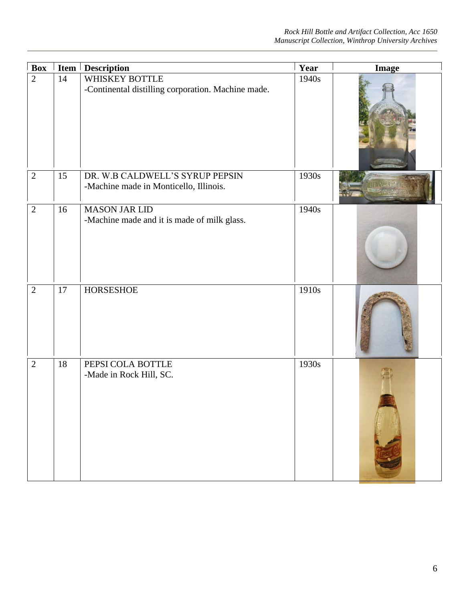| <b>Box</b>     |    | <b>Item   Description</b>                                                 | Year  | <b>Image</b> |
|----------------|----|---------------------------------------------------------------------------|-------|--------------|
| $\overline{2}$ | 14 | WHISKEY BOTTLE<br>-Continental distilling corporation. Machine made.      | 1940s |              |
| $\overline{2}$ | 15 | DR. W.B CALDWELL'S SYRUP PEPSIN<br>-Machine made in Monticello, Illinois. | 1930s |              |
| $\overline{2}$ | 16 | <b>MASON JAR LID</b><br>-Machine made and it is made of milk glass.       | 1940s |              |
| $\overline{2}$ | 17 | <b>HORSESHOE</b>                                                          | 1910s |              |
| $\overline{2}$ | 18 | PEPSI COLA BOTTLE<br>-Made in Rock Hill, SC.                              | 1930s |              |